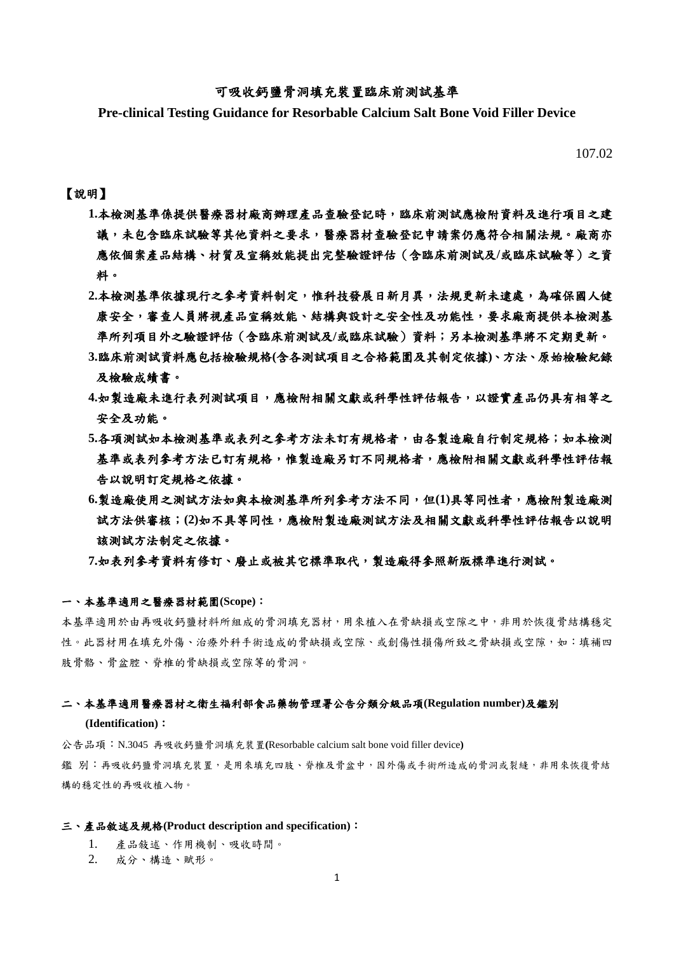# 可吸收鈣鹽骨洞填充裝置臨床前測試基準

**Pre-clinical Testing Guidance for Resorbable Calcium Salt Bone Void Filler Device**

107.02

# 【說明】

- 1.本檢測基準係提供醫療器材廠商辦理產品查驗登記時,臨床前測試應檢附資料及進行項目之建 議,未包含臨床試驗等其他資料之要求,醫療器材查驗登記申請案仍應符合相關法規。廠商亦 應依個案產品結構、材質及宣稱效能提出完整驗證評估(含臨床前測試及**/**或臨床試驗等)之資 料。
- 2.本檢測基準依據現行之參考資料制定,惟科技發展日新月異,法規更新未逮處,為確保國人健 康安全,審查人員將視產品宣稱效能、結構與設計之安全性及功能性,要求廠商提供本檢測基 準所列項目外之驗證評估(含臨床前測試及**/**或臨床試驗)資料;另本檢測基準將不定期更新。
- **3.**臨床前測試資料應包括檢驗規格**(**含各測試項目之合格範圍及其制定依據**)**、方法、原始檢驗紀錄 及檢驗成績書。
- **4.**如製造廠未進行表列測試項目,應檢附相關文獻或科學性評估報告,以證實產品仍具有相等之 安全及功能。
- 5.各項測試如本檢測基準或表列之參考方法未訂有規格者,由各製造廠自行制定規格;如本檢測 基準或表列參考方法已訂有規格,惟製造廠另訂不同規格者,應檢附相關文獻或科學性評估報 告以說明訂定規格之依據。
- **6.**製造廠使用之測試方法如與本檢測基準所列參考方法不同,但**(1)**具等同性者,應檢附製造廠測 試方法供審核;**(2)**如不具等同性,應檢附製造廠測試方法及相關文獻或科學性評估報告以說明 該測試方法制定之依據。

**7.**如表列參考資料有修訂、廢止或被其它標準取代,製造廠得參照新版標準進行測試。

#### 一、本基準適用之醫療器材範圍**(Scope)**:

本基準適用於由再吸收鈣鹽材料所組成的骨洞填充器材,用來植入在骨缺損或空隙之中,非用於恢復骨結構穩定 性。此器材用在填充外傷、治療外科手術造成的骨缺損或空隙、或創傷性損傷所致之骨缺損或空隙,如:填補四 肢骨骼、骨盆腔、脊椎的骨缺損或空隙等的骨洞。

#### 二、本基準適用醫療器材之衛生福利部食品藥物管理署公告分類分級品項**(Regulation number)**及鑑別

### **(Identification)**:

公告品項:N.3045 再吸收鈣鹽骨洞填充裝置**(**Resorbable calcium salt bone void filler device**)** 鑑 別:再吸收鈣鹽骨洞填充裝置,是用來填充四肢、脊椎及骨盆中,因外傷或手術所造成的骨洞或裂縫,非用來恢復骨結 構的穩定性的再吸收植入物。

#### 三、產品敘述及規格**(Product description and specification)**:

- 1. 產品敍述、作用機制、吸收時間。
- 2. 成分、構造、賦形。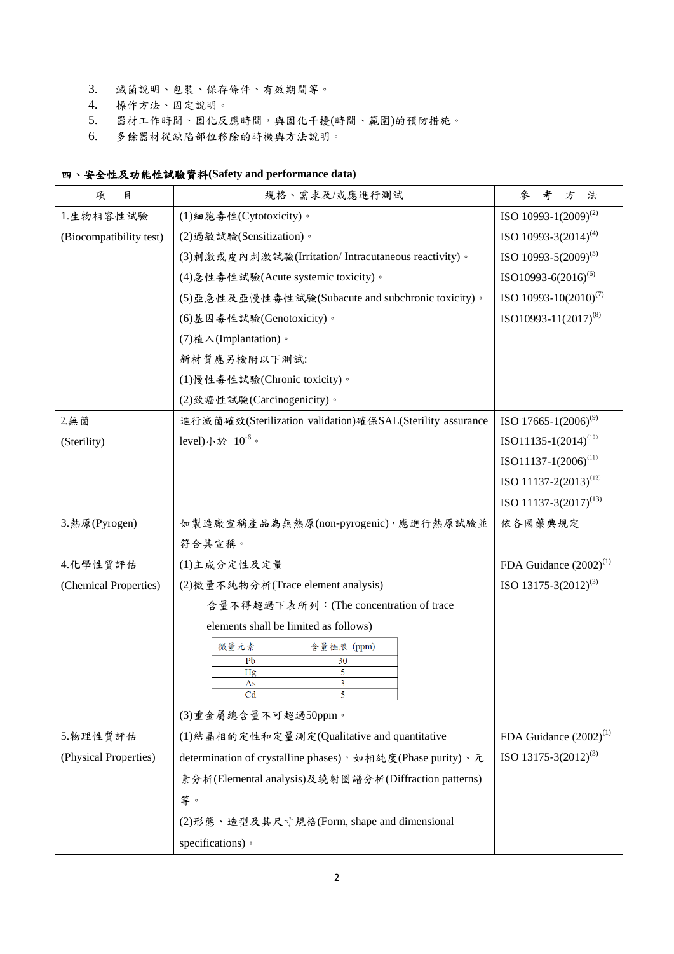- 3. 滅菌說明、包裝、保存條件、有效期間等。
- 4. 操作方法、固定說明。
- 5. 器材工作時間、固化反應時間,與固化干擾(時間、範圍)的預防措施。
- 6. 多餘器材從缺陷部位移除的時機與方法說明。

# 四、安全性及功能性試驗資料**(Safety and performance data)**

| 項<br>目                  | 規格、需求及/或應進行測試                                              | 考<br>參<br>方<br>法                   |
|-------------------------|------------------------------------------------------------|------------------------------------|
| 1.生物相容性試驗               | (1)細胞毒性(Cytotoxicity)。                                     | ISO 10993-1(2009) <sup>(2)</sup>   |
| (Biocompatibility test) | (2) 過敏試驗(Sensitization)。                                   | ISO 10993-3 $(2014)^{(4)}$         |
|                         | (3)刺激或皮内刺激試驗(Irritation/Intracutaneous reactivity)。        | ISO 10993-5 $(2009)^{(5)}$         |
|                         | (4) 急性毒性試驗(Acute systemic toxicity)。                       | ISO10993-6(2016) <sup>(6)</sup>    |
|                         | (5)亞急性及亞慢性毒性試驗(Subacute and subchronic toxicity)。          | ISO 10993-10 $(2010)^{(7)}$        |
|                         | (6)基因毒性試驗(Genotoxicity)。                                   | ISO10993-11(2017) <sup>(8)</sup>   |
|                         | (7) 植入(Implantation)。                                      |                                    |
|                         | 新材質應另檢附以下測試:                                               |                                    |
|                         | (1)慢性毒性試驗(Chronic toxicity)。                               |                                    |
|                         | (2)致癌性試驗(Carcinogenicity)。                                 |                                    |
| 2. 無菌                   | 進行滅菌確效(Sterilization validation)確保SAL(Sterility assurance  | ISO 17665-1 $(2006)^{(9)}$         |
| (Sterility)             | level)小於 $10^{-6}$ 。                                       | ISO11135-1(2014) <sup>(10)</sup>   |
|                         |                                                            | $ISO11137-1(2006)^{(11)}$          |
|                         |                                                            | ISO 11137-2(2013) <sup>(12)</sup>  |
|                         |                                                            | ISO 11137-3 $(2017)^{(13)}$        |
| 3. 熱原(Pyrogen)          | 如製造廠宣稱產品為無熱原(non-pyrogenic),應進行熱原試驗並                       | 依各國藥典規定                            |
|                         | 符合其宣稱。                                                     |                                    |
| 4.化學性質評估                | (1)主成分定性及定量                                                | FDA Guidance $(2002)^{(1)}$        |
| (Chemical Properties)   | (2) 微量不純物分析(Trace element analysis)                        | ISO 13175-3 $(2012)^{(3)}$         |
|                         | 含量不得超過下表所列: (The concentration of trace                    |                                    |
|                         | elements shall be limited as follows)                      |                                    |
|                         | 微量元素<br>含量極限 (ppm)                                         |                                    |
|                         | 30<br>P <sub>b</sub><br>5<br>Hg                            |                                    |
|                         | 3<br>As<br>Cd                                              |                                    |
|                         | (3)重金屬總含量不可超過50ppm。                                        |                                    |
| 5.物理性質評估                | (1)結晶相的定性和定量測定(Qualitative and quantitative                | FDA Guidance (2002) <sup>(1)</sup> |
| (Physical Properties)   | determination of crystalline phases), 如相純度(Phase purity)、元 | ISO 13175-3 $(2012)^{(3)}$         |
|                         | 素分析(Elemental analysis)及繞射圖譜分析(Diffraction patterns)       |                                    |
|                         | 等。                                                         |                                    |
|                         | (2)形態、造型及其尺寸規格(Form, shape and dimensional                 |                                    |
|                         | specifications) •                                          |                                    |